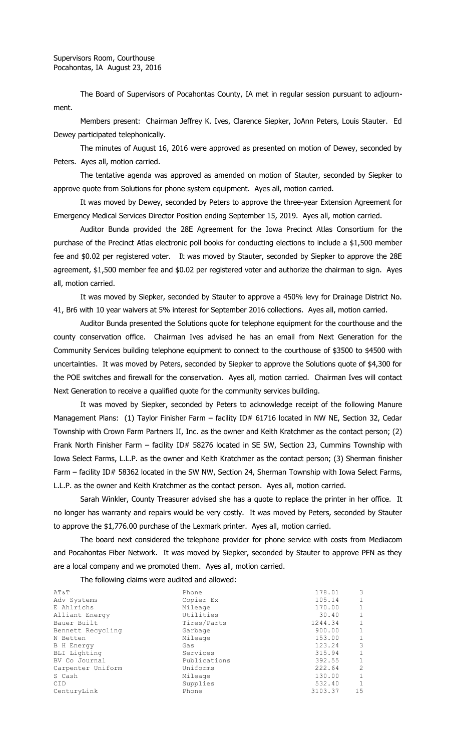The Board of Supervisors of Pocahontas County, IA met in regular session pursuant to adjournment.

Members present: Chairman Jeffrey K. Ives, Clarence Siepker, JoAnn Peters, Louis Stauter. Ed Dewey participated telephonically.

The minutes of August 16, 2016 were approved as presented on motion of Dewey, seconded by Peters. Ayes all, motion carried.

The tentative agenda was approved as amended on motion of Stauter, seconded by Siepker to approve quote from Solutions for phone system equipment. Ayes all, motion carried.

It was moved by Dewey, seconded by Peters to approve the three-year Extension Agreement for Emergency Medical Services Director Position ending September 15, 2019. Ayes all, motion carried.

Auditor Bunda provided the 28E Agreement for the Iowa Precinct Atlas Consortium for the purchase of the Precinct Atlas electronic poll books for conducting elections to include a \$1,500 member fee and \$0.02 per registered voter. It was moved by Stauter, seconded by Siepker to approve the 28E agreement, \$1,500 member fee and \$0.02 per registered voter and authorize the chairman to sign. Ayes all, motion carried.

It was moved by Siepker, seconded by Stauter to approve a 450% levy for Drainage District No. 41, Br6 with 10 year waivers at 5% interest for September 2016 collections. Ayes all, motion carried.

Auditor Bunda presented the Solutions quote for telephone equipment for the courthouse and the county conservation office. Chairman Ives advised he has an email from Next Generation for the Community Services building telephone equipment to connect to the courthouse of \$3500 to \$4500 with uncertainties. It was moved by Peters, seconded by Siepker to approve the Solutions quote of \$4,300 for the POE switches and firewall for the conservation. Ayes all, motion carried. Chairman Ives will contact Next Generation to receive a qualified quote for the community services building.

It was moved by Siepker, seconded by Peters to acknowledge receipt of the following Manure Management Plans: (1) Taylor Finisher Farm - facility ID# 61716 located in NW NE, Section 32, Cedar Township with Crown Farm Partners II, Inc. as the owner and Keith Kratchmer as the contact person; (2) Frank North Finisher Farm - facility ID# 58276 located in SE SW, Section 23, Cummins Township with Iowa Select Farms, L.L.P. as the owner and Keith Kratchmer as the contact person; (3) Sherman finisher Farm – facility ID# 58362 located in the SW NW, Section 24, Sherman Township with Iowa Select Farms, L.L.P. as the owner and Keith Kratchmer as the contact person. Ayes all, motion carried.

Sarah Winkler, County Treasurer advised she has a quote to replace the printer in her office. It no longer has warranty and repairs would be very costly. It was moved by Peters, seconded by Stauter to approve the \$1,776.00 purchase of the Lexmark printer. Ayes all, motion carried.

The board next considered the telephone provider for phone service with costs from Mediacom and Pocahontas Fiber Network. It was moved by Siepker, seconded by Stauter to approve PFN as they are a local company and we promoted them. Ayes all, motion carried.

The following claims were audited and allowed:

| AT&T              | Phone        | 178.01  | 3            |
|-------------------|--------------|---------|--------------|
| Adv Systems       | Copier Ex    | 105.14  | $\mathbf{1}$ |
| E Ahlrichs        | Mileage      | 170.00  | 1            |
| Alliant Energy    | Utilities    | 30.40   | 1            |
| Bauer Built       | Tires/Parts  | 1244.34 | 1            |
| Bennett Recycling | Garbage      | 900.00  | 1            |
| N Betten          | Mileage      | 153.00  | 1            |
| <b>B</b> H Energy | Gas          | 123.24  | 3            |
| BLI Lighting      | Services     | 315.94  | 1            |
| BV Co Journal     | Publications | 392.55  | 1            |
| Carpenter Uniform | Uniforms     | 222.64  | 2            |
| S Cash            | Mileage      | 130.00  | 1            |
| <b>CID</b>        | Supplies     | 532.40  | $\mathbf{1}$ |
| CenturyLink       | Phone        | 3103.37 | 15           |
|                   |              |         |              |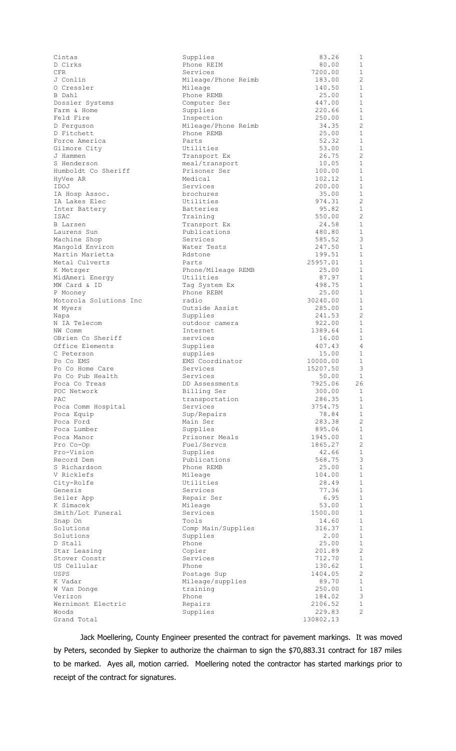| Cintas                          | Supplies              | 83.26            | 1                              |
|---------------------------------|-----------------------|------------------|--------------------------------|
| D Cirks                         | Phone REIM            | 80.00            | 1                              |
| CFR.                            | Services              | 7200.00          | 1                              |
| J Conlin                        | Mileage/Phone Reimb   | 183.00           | $\overline{c}$                 |
| 0 Cressler                      | Mileage               | 140.50           | 1                              |
| B Dahl                          | Phone REMB            | 25.00            | 1                              |
| Dossier Systems                 | Computer Ser          | 447.00           | $\mathbf{1}$                   |
| Farm & Home                     | Supplies              | 220.66           | 1                              |
| Feld Fire                       | Inspection            | 250.00           | 1                              |
| D Ferguson                      | Mileage/Phone Reimb   | 34.35            | $\overline{c}$                 |
| D Fitchett                      | Phone REMB            | 25.00            | 1                              |
| Force America                   | Parts                 | 52.32            | $\mathbf{1}$                   |
| Gilmore City                    | Utilities             | 53.00            | $\mathbf{1}$<br>$\overline{c}$ |
| J Hammen                        | Transport Ex          | 26.75            | $\mathbf{1}$                   |
| S Henderson                     | meal/transport        | 10.05            |                                |
| Humboldt Co Sheriff             | Prisoner Ser          | 100.00           | 1<br>$\mathbf{1}$              |
| HyVee AR<br>IDOJ                | Medical<br>Services   | 102.12<br>200.00 | 1                              |
|                                 | brochures             | 35.00            | 1                              |
| IA Hosp Assoc.<br>IA Lakes Elec | Utilities             | 974.31           | $\overline{c}$                 |
| Inter Battery                   | <b>Batteries</b>      | 95.82            | 1                              |
| ISAC                            | Training              | 550.00           | $\overline{2}$                 |
| B Larsen                        | Transport Ex          | 24.58            | $\mathbf{1}$                   |
| Laurens Sun                     | Publications          | 480.80           | 1                              |
| Machine Shop                    | Services              | 585.52           | 3                              |
| Mangold Environ                 | Water Tests           | 247.50           | 1                              |
| Martin Marietta                 | Rdstone               | 199.51           | $\mathbf{1}$                   |
| Metal Culverts                  | Parts                 | 25957.01         | 1                              |
| K Metzger                       | Phone/Mileage REMB    | 25.00            | 1                              |
| MidAmeri Energy                 | Utilities             | 87.97            | $\mathbf{1}$                   |
| MW Card & ID                    | Tag System Ex         | 498.75           | 1                              |
| P Mooney                        | Phone REBM            | 25.00            | 1                              |
| Motorola Solutions Inc          | radio                 | 30240.00         | $\mathbf{1}$                   |
| M Myers                         | Outside Assist        | 285.00           | $\mathbf{1}$                   |
| Napa                            | Supplies              | 241.53           | $\overline{2}$                 |
| N IA Telecom                    | outdoor camera        | 922.00           | 1                              |
| NW Comm                         | Internet              | 1389.64          | $\mathbf{1}$                   |
| OBrien Co Sheriff               | services              | 16.00            | 1                              |
| Office Elements                 | Supplies              | 407.43           | 4                              |
| C Peterson                      | supplies              | 15.00            | 1                              |
| Po Co EMS                       | EMS Coordinator       | 10000.00         | $\mathbf{1}$                   |
| Po Co Home Care                 | Services              | 15207.50         | 3                              |
| Po Co Pub Health                | Services              | 50.00            | 1                              |
| Poca Co Treas                   | DD Assessments        | 7925.06          | 26                             |
| POC Network                     | Billing Ser           | 300.00           | $\mathbf{1}$                   |
| PAC                             | transportation        | 286.35           | 1                              |
| Poca Comm Hospital              | Services              | 3754.75          | 1                              |
| Poca Equip                      | Sup/Repairs           | 78.84            | 1                              |
| Poca Ford                       | Main Ser              | 283.38           | $\overline{2}$                 |
| Poca Lumber                     | Supplies              | 895.06           | $\mathbf{1}$                   |
| Poca Manor                      | Prisoner Meals        | 1945.00          | 1                              |
| Pro Co-Op                       | Fuel/Servcs           | 1865.27          | $\overline{2}$                 |
| Pro-Vision                      | Supplies              | 42.66            | $\mathbf{1}$<br>3              |
| Record Dem                      | Publications          | 568.75           |                                |
| S Richardson                    | Phone REMB            | 25.00            | $\mathbf{1}$<br>1              |
| V Ricklefs                      | Mileage               | 104.00<br>28.49  | $\mathbf{1}$                   |
| City-Rolfe<br>Genesis           | Utilities<br>Services | 77.36            | $\mathbf{1}$                   |
| Seiler App                      | Repair Ser            | 6.95             | $\mathbf{1}$                   |
| K Simacek                       | Mileage               | 53.00            | $1\,$                          |
| Smith/Lot Funeral               | Services              | 1500.00          | 1                              |
| Snap On                         | Tools                 | 14.60            | 1                              |
| Solutions                       | Comp Main/Supplies    | 316.37           | $\mathbf{1}$                   |
| Solutions                       | Supplies              | 2.00             | $\mathbf{1}$                   |
| D Stall                         | Phone                 | 25.00            | $\mathbf{1}$                   |
| Star Leasing                    | Copier                | 201.89           | $\overline{c}$                 |
| Stover Constr                   | Services              | 712.70           | $\mathbf{1}$                   |
| US Cellular                     | Phone                 | 130.62           | 1                              |
| USPS                            | Postage Sup           | 1404.05          | $\overline{2}$                 |
| K Vadar                         | Mileage/supplies      | 89.70            | $\mathbf{1}$                   |
| W Van Donge                     | training              | 250.00           | 1                              |
| Verizon                         | Phone                 | 184.02           | 3                              |
| Wernimont Electric              | Repairs               | 2106.52          | $\mathbf{1}$                   |
| Woods                           | Supplies              | 229.83           | $\overline{2}$                 |
| Grand Total                     |                       | 130802.13        |                                |

Jack Moellering, County Engineer presented the contract for pavement markings. It was moved by Peters, seconded by Siepker to authorize the chairman to sign the \$70,883.31 contract for 187 miles to be marked. Ayes all, motion carried. Moellering noted the contractor has started markings prior to receipt of the contract for signatures.